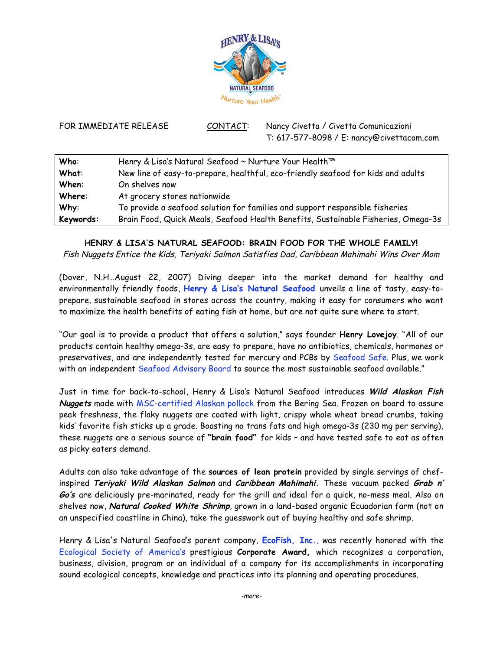

FOR IMMEDIATE RELEASE CONTACT: Nancy Civetta / Civetta Comunicazioni T: 617-577-8098 / E: nancy@civettacom.com

| Who:      | Henry & Lisa's Natural Seafood ~ Nurture Your Health™                             |
|-----------|-----------------------------------------------------------------------------------|
| What:     | New line of easy-to-prepare, healthful, eco-friendly seafood for kids and adults  |
| When:     | On shelves now                                                                    |
| Where:    | At grocery stores nationwide                                                      |
| Why:      | To provide a seafood solution for families and support responsible fisheries      |
| Keywords: | Brain Food, Quick Meals, Seafood Health Benefits, Sustainable Fisheries, Omega-3s |

## **HENRY & LISA'S NATURAL SEAFOOD: BRAIN FOOD FOR THE WHOLE FAMILY!**

Fish Nuggets Entice the Kids, Teriyaki Salmon Satisfies Dad, Caribbean Mahimahi Wins Over Mom

(Dover, N.H…August 22, 2007) Diving deeper into the market demand for healthy and environmentally friendly foods, **Henry & Lisa's Natural Seafood** unveils a line of tasty, easy-toprepare, sustainable seafood in stores across the country, making it easy for consumers who want to maximize the health benefits of eating fish at home, but are not quite sure where to start.

"Our goal is to provide a product that offers a solution," says founder **Henry Lovejoy**. "All of our products contain healthy omega-3s, are easy to prepare, have no antibiotics, chemicals, hormones or preservatives, and are independently tested for mercury and PCBs by Seafood Safe. Plus, we work with an independent Seafood Advisory Board to source the most sustainable seafood available."

Just in time for back-to-school, Henry & Lisa's Natural Seafood introduces **Wild Alaskan Fish Nuggets** made with MSC-certified Alaskan pollock from the Bering Sea. Frozen on board to assure peak freshness, the flaky nuggets are coated with light, crispy whole wheat bread crumbs, taking kids' favorite fish sticks up a grade. Boasting no trans fats and high omega-3s (230 mg per serving), these nuggets are a serious source of **"brain food"** for kids – and have tested safe to eat as often as picky eaters demand.

Adults can also take advantage of the **sources of lean protein** provided by single servings of chefinspired **Teriyaki Wild Alaskan Salmon** and **Caribbean Mahimahi.** These vacuum packed **Grab <sup>n</sup>' Go's** are deliciously pre-marinated, ready for the grill and ideal for a quick, no-mess meal. Also on shelves now, **Natural Cooked White Shrimp**, grown in a land-based organic Ecuadorian farm (not on an unspecified coastline in China), take the guesswork out of buying healthy and safe shrimp.

Henry & Lisa's Natural Seafood's parent company, **EcoFish, Inc.**, was recently honored with the Ecological Society of America's prestigious **Corporate Award,** which recognizes a corporation, business, division, program or an individual of a company for its accomplishments in incorporating sound ecological concepts, knowledge and practices into its planning and operating procedures.